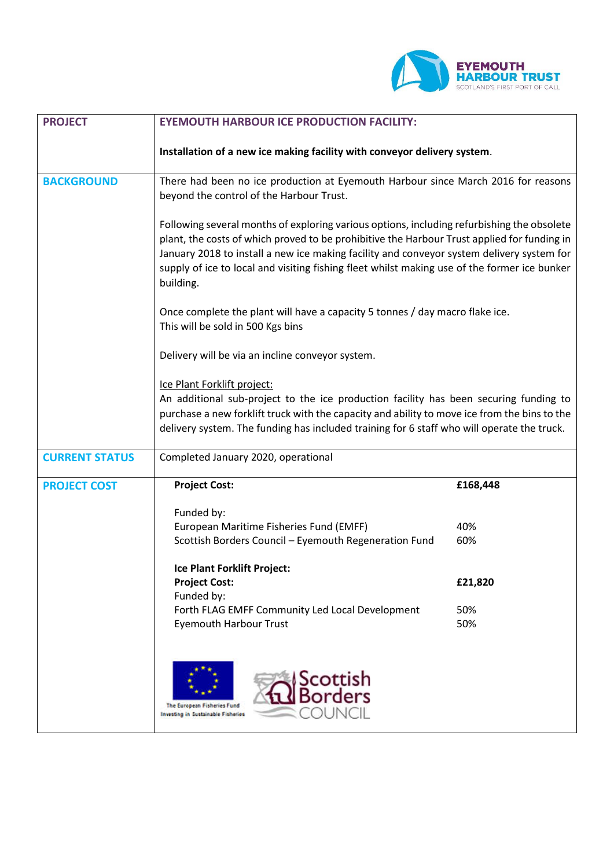

| <b>PROJECT</b>        | <b>EYEMOUTH HARBOUR ICE PRODUCTION FACILITY:</b>                                                                                                                                                                                                                                                                                                                                                                                                                                                                                                                                                                                                                                                                                                                                                                                                                                                   |            |
|-----------------------|----------------------------------------------------------------------------------------------------------------------------------------------------------------------------------------------------------------------------------------------------------------------------------------------------------------------------------------------------------------------------------------------------------------------------------------------------------------------------------------------------------------------------------------------------------------------------------------------------------------------------------------------------------------------------------------------------------------------------------------------------------------------------------------------------------------------------------------------------------------------------------------------------|------------|
|                       | Installation of a new ice making facility with conveyor delivery system.                                                                                                                                                                                                                                                                                                                                                                                                                                                                                                                                                                                                                                                                                                                                                                                                                           |            |
| <b>BACKGROUND</b>     | There had been no ice production at Eyemouth Harbour since March 2016 for reasons<br>beyond the control of the Harbour Trust.                                                                                                                                                                                                                                                                                                                                                                                                                                                                                                                                                                                                                                                                                                                                                                      |            |
|                       | Following several months of exploring various options, including refurbishing the obsolete<br>plant, the costs of which proved to be prohibitive the Harbour Trust applied for funding in<br>January 2018 to install a new ice making facility and conveyor system delivery system for<br>supply of ice to local and visiting fishing fleet whilst making use of the former ice bunker<br>building.<br>Once complete the plant will have a capacity 5 tonnes / day macro flake ice.<br>This will be sold in 500 Kgs bins<br>Delivery will be via an incline conveyor system.<br>Ice Plant Forklift project:<br>An additional sub-project to the ice production facility has been securing funding to<br>purchase a new forklift truck with the capacity and ability to move ice from the bins to the<br>delivery system. The funding has included training for 6 staff who will operate the truck. |            |
|                       |                                                                                                                                                                                                                                                                                                                                                                                                                                                                                                                                                                                                                                                                                                                                                                                                                                                                                                    |            |
|                       |                                                                                                                                                                                                                                                                                                                                                                                                                                                                                                                                                                                                                                                                                                                                                                                                                                                                                                    |            |
|                       |                                                                                                                                                                                                                                                                                                                                                                                                                                                                                                                                                                                                                                                                                                                                                                                                                                                                                                    |            |
| <b>CURRENT STATUS</b> | Completed January 2020, operational                                                                                                                                                                                                                                                                                                                                                                                                                                                                                                                                                                                                                                                                                                                                                                                                                                                                |            |
| <b>PROJECT COST</b>   | <b>Project Cost:</b>                                                                                                                                                                                                                                                                                                                                                                                                                                                                                                                                                                                                                                                                                                                                                                                                                                                                               | £168,448   |
|                       | Funded by:<br>European Maritime Fisheries Fund (EMFF)<br>Scottish Borders Council - Eyemouth Regeneration Fund                                                                                                                                                                                                                                                                                                                                                                                                                                                                                                                                                                                                                                                                                                                                                                                     | 40%<br>60% |
|                       | <b>Ice Plant Forklift Project:</b><br><b>Project Cost:</b><br>Funded by:                                                                                                                                                                                                                                                                                                                                                                                                                                                                                                                                                                                                                                                                                                                                                                                                                           | £21,820    |
|                       | Forth FLAG EMFF Community Led Local Development<br><b>Eyemouth Harbour Trust</b>                                                                                                                                                                                                                                                                                                                                                                                                                                                                                                                                                                                                                                                                                                                                                                                                                   | 50%<br>50% |
|                       | Scottish<br>Borders<br>The European Fisheries Fund<br>Investing in Sustainable Fisheries                                                                                                                                                                                                                                                                                                                                                                                                                                                                                                                                                                                                                                                                                                                                                                                                           |            |